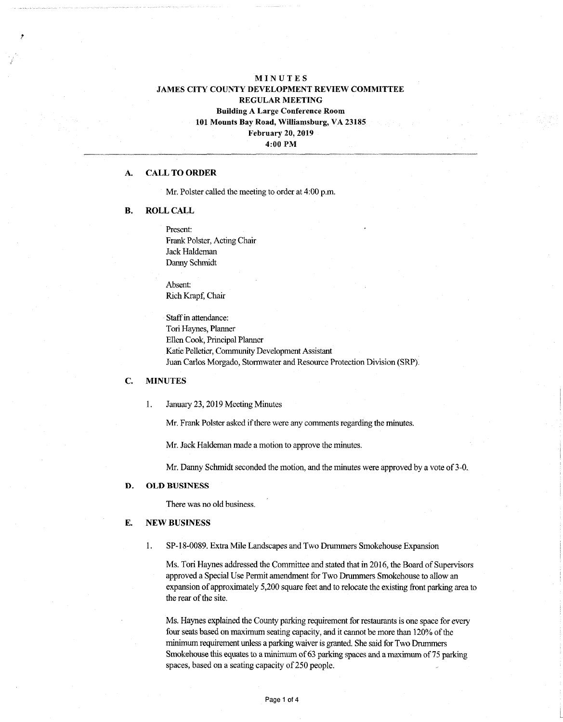# **MINUTES JAMES CITY COUNTY DEVELOPMENT REVIEW COMMITTEE REGULAR MEETING Building A Large Conference Room 101 Mounts Bay Road, Williamsburg, VA 23185 February 20, 2019**

**4:00 PM**

### **A. CALL TO ORDER**

Mr. Polster called the meeting to order at 4:00 p.m.

### **B. ROLL CALL**

Present: Frank Polster, Acting Chair Jack Haldeman Danny Schmidt

Absent: Rich Krapf, Chair

Staff in attendance: Tori Haynes, Planner Ellen Cook, Principal Planner Katie Pelletier, Community Development Assistant Juan Carlos Morgado, Stormwater and Resource Protection Division (SRP).

#### **C. MINUTES**

1. January 23,2019 Meeting Minutes

Mr. Frank Polster asked if there were any comments regarding the minutes.

Mr. Jack Haldeman made a motion to approve the minutes.

Mr. Danny Schmidt seconded the motion, and the minutes were approved by a vote of 3-0.

### **D. OLD BUSINESS**

There was no old business.

#### **E. NEW BUSINESS**

**1.** SP-18-0089. Extra Mile Landscapes and Two Drummers Smokehouse Expansion

Ms. Tori Haynes addressed the Committee and stated that in 2016, the Board of Supervisors approved a Special Use Permit amendment for Two Drummers Smokehouse to allow an expansion of approximately 5,200 square feet and to relocate the existing front parking area to the rear of the site.

Ms. Haynes explained the County parking requirement for restaurants is one space for every four seats based on maximum seating capacity, and it cannot be more than 120% of the minimum requirement unless a parking waiver is granted. She said for Two Drummers Smokehouse this equates to a minimum of 63 parking spaces and a maximum of 75 parking spaces, based on a seating capacity of 250 people.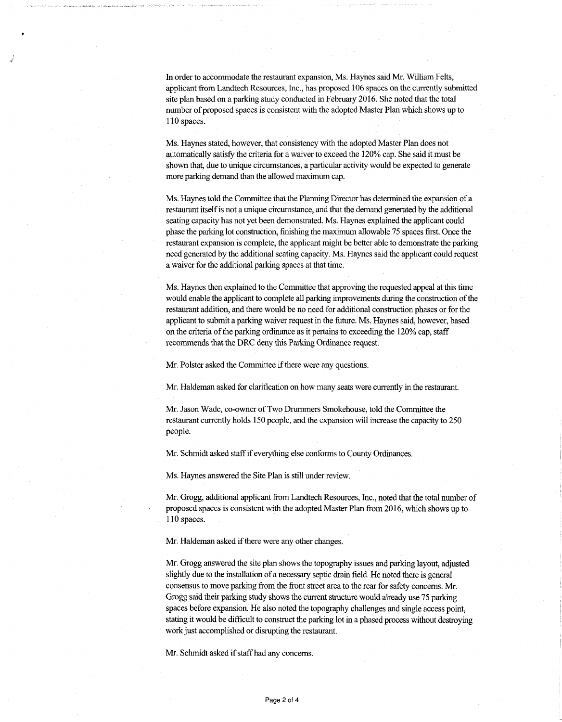In order to accommodate the restaurant expansion, Ms. Haynes said Mr. William Felts, applicant from Landtech Resources, Inc., has proposed 106 spaces on the currently submitted site plan based on a parking study conducted in February 2016. She noted that the total number of proposed spaces is consistent with the adopted Master Plan which shows up to 110 spaces.

Ms. Haynes stated, however, that consistency with the adopted Master Plan does not automatically satisfy the criteria for a waiver to exceed the 120% cap. She said it must be shown that, due to unique circumstances, a particular activity would be expected to generate more parking demand than the allowed maximum cap.

Ms. Haynes told the Committee that the Planning Director has determined the expansion of a restaurant itself is not a unique circumstance, and that the demand generated by the additional seating capacity has not yet been demonstrated. Ms. Haynes explained the applicant could phase the parking lot construction, finishing the maximum allowable 75 spaces first. Once the restaurant expansion is complete, the applicant might be better able to demonstrate the parking need generated by the additional seating capacity. Ms. Haynes said the applicant could request a waiver for the additional parking spaces at that time.

Ms. Haynes then explained to the Committee that approving the requested appeal atthis time would enable the applicant to complete all parking improvements during the construction of the restaurant addition, and there would be no need for additional construction phases or for the applicant to submit a parking waiver request in the future. Ms. Haynes said, however, based on the criteria of the parking ordinance as it pertains to exceeding the 120% cap, staff recommends that the DRC deny this Parking Ordinance request.

Mr. Polster asked the Committee if there were any questions.

Mr. Haldeman asked for clarification on how many seats were currently in the restaurant.

Mr. Jason Wade, co-owner ofTwo Drummers Smokehouse, told the Committee the restaurant currently holds 150 people, and the expansion will increase the capacity to 250 people.

Mr. Schmidt asked staffif everything else conforms to County Ordinances.

Ms. Haynes answered the Site Plan is still under review.

Mr. Grogg, additional applicant from Landtech Resources, Inc., noted that the total number of proposed spaces is consistent with the adopted Master Plan from 2016, which shows up to 110 spaces.

Mr. Haldeman asked if there were any other changes.

Mr. Grogg answered the site plan shows the topography issues and parking layout, adjusted slightly due to the installation of a necessary septic drain field. He noted there is general consensus to move parking from the front street area to the rear for safety concerns. Mr. Grogg said their parking study shows the current structure would already use 75 parking spaces before expansion. He also noted the topography challenges and single access point, stating it would be difficult to construct the parking lot in a phased process without destroying work just accomplished or disrupting the restaurant.

Mr. Schmidt asked if staff had any concerns.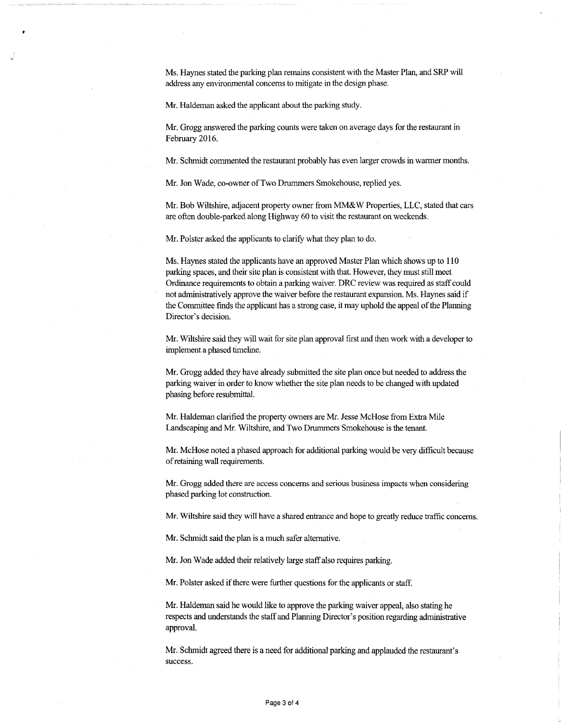Ms. Haynes stated the parking plan remains consistent with the Master Plan, and SRP will address any environmental concerns to mitigate in the design phase.

Mr. Haldeman asked the applicant about the parking study.

Mr. Grogg answered the parking counts were taken on average days for the restaurant in February 2016.

Mr. Schmidt commented the restaurant probably has even larger crowds in warmer months.

Mr. Jon Wade, co-owner of Two Drummers Smokehouse, replied yes.

Mr. Bob Wiltshire, adjacent property owner from MM&W Properties, LLC, stated that cars are often double-parked along Highway 60 to visit the restaurant on weekends.

Mr. Polster asked the applicants to clarify what they plan to do.

Ms. Haynes stated the applicants have an approved Master Plan which shows up to 110 parking spaces, and their site plan is consistent with that. However, they must still meet Ordinance requirements to obtain a parking waiver. DRC review wasrequired as staffcould not administratively approve the waiver before the restaurant expansion. Ms. Haynes said if the Committee finds the applicant has a strong case, it may uphold the appeal of the Planning Director's decision.

Mr. Wiltshire said they will wait for site plan approval first and then work with a developer to implement a phased timeline.

Mr. Grogg added they have already submitted the site plan once but needed to address the parking waiver in order to know whether the site plan needs to be changed with updated phasing before resubmittal.

Mr. Haldeman clarified the property owners are Mr. Jesse McHose from Extra Mile Landscaping and Mr. Wiltshire, and Two Drummers Smokehouse is the tenant.

Mr. McHose noted a phased approach for additional parking would be very difficult because ofretaining wall requirements.

Mr. Grogg added there are access concerns and serious business impacts when considering phased parking lot construction.

Mr. Wiltshire said they will have a shared entrance and hope to greatly reduce traffic concerns.

Mr. Schmidt said the plan is a much safer alternative.

Mr. Jon Wade added their relatively large staffalso requires parking.

Mr. Polster asked if there were further questions for the applicants or staff.

Mr. Haldeman said he would like to approve the parking waiver appeal, also stating he respects and understands the staffand Planning Director's position regarding administrative approval.

Mr. Schmidt agreed there is a need for additional parking and applauded the restaurant's success.